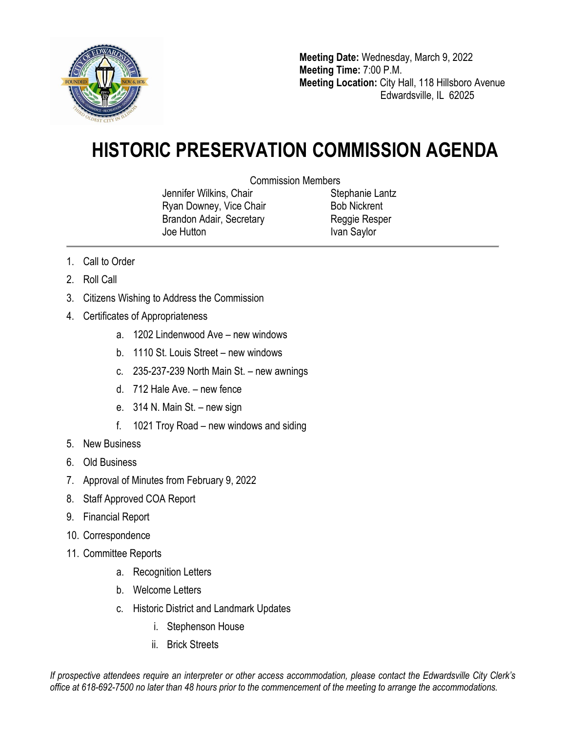

**Meeting Date:** Wednesday, March 9, 2022 **Meeting Time:** 7:00 P.M. **Meeting Location:** City Hall, 118 Hillsboro Avenue Edwardsville, IL 62025

## **HISTORIC PRESERVATION COMMISSION AGENDA**

Commission Members

Jennifer Wilkins, Chair Ryan Downey, Vice Chair Brandon Adair, Secretary Joe Hutton

Stephanie Lantz Bob Nickrent Reggie Resper Ivan Saylor

- 1. Call to Order
- 2. Roll Call
- 3. Citizens Wishing to Address the Commission
- 4. Certificates of Appropriateness
	- a. 1202 Lindenwood Ave new windows
	- b. 1110 St. Louis Street new windows
	- c. 235-237-239 North Main St. new awnings
	- d. 712 Hale Ave. new fence
	- e. 314 N. Main St. new sign
	- f. 1021 Troy Road new windows and siding
- 5. New Business
- 6. Old Business
- 7. Approval of Minutes from February 9, 2022
- 8. Staff Approved COA Report
- 9. Financial Report
- 10. Correspondence
- 11. Committee Reports
	- a. Recognition Letters
	- b. Welcome Letters
	- c. Historic District and Landmark Updates
		- i. Stephenson House
		- ii. Brick Streets

*If prospective attendees require an interpreter or other access accommodation, please contact the Edwardsville City Clerk's office at 618-692-7500 no later than 48 hours prior to the commencement of the meeting to arrange the accommodations.*